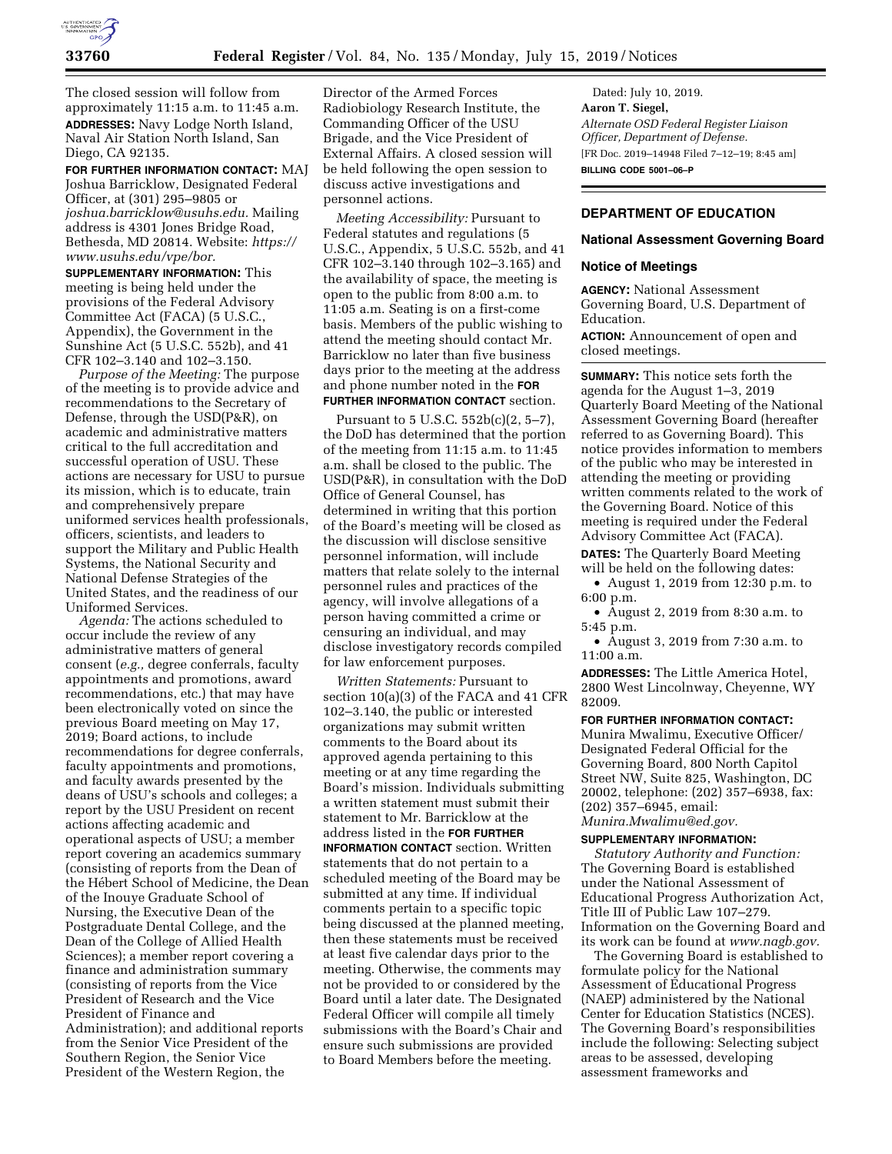

The closed session will follow from approximately 11:15 a.m. to 11:45 a.m. **ADDRESSES:** Navy Lodge North Island, Naval Air Station North Island, San Diego, CA 92135.

**FOR FURTHER INFORMATION CONTACT:** MAJ Joshua Barricklow, Designated Federal Officer, at (301) 295–9805 or *[joshua.barricklow@usuhs.edu.](mailto:joshua.barricklow@usuhs.edu)* Mailing address is 4301 Jones Bridge Road, Bethesda, MD 20814. Website: *[https://](https://www.usuhs.edu/vpe/bor) [www.usuhs.edu/vpe/bor.](https://www.usuhs.edu/vpe/bor)* 

**SUPPLEMENTARY INFORMATION:** This meeting is being held under the provisions of the Federal Advisory Committee Act (FACA) (5 U.S.C., Appendix), the Government in the Sunshine Act (5 U.S.C. 552b), and 41 CFR 102–3.140 and 102–3.150.

*Purpose of the Meeting:* The purpose of the meeting is to provide advice and recommendations to the Secretary of Defense, through the USD(P&R), on academic and administrative matters critical to the full accreditation and successful operation of USU. These actions are necessary for USU to pursue its mission, which is to educate, train and comprehensively prepare uniformed services health professionals, officers, scientists, and leaders to support the Military and Public Health Systems, the National Security and National Defense Strategies of the United States, and the readiness of our Uniformed Services.

*Agenda:* The actions scheduled to occur include the review of any administrative matters of general consent (*e.g.,* degree conferrals, faculty appointments and promotions, award recommendations, etc.) that may have been electronically voted on since the previous Board meeting on May 17, 2019; Board actions, to include recommendations for degree conferrals, faculty appointments and promotions, and faculty awards presented by the deans of USU's schools and colleges; a report by the USU President on recent actions affecting academic and operational aspects of USU; a member report covering an academics summary (consisting of reports from the Dean of the Hébert School of Medicine, the Dean of the Inouye Graduate School of Nursing, the Executive Dean of the Postgraduate Dental College, and the Dean of the College of Allied Health Sciences); a member report covering a finance and administration summary (consisting of reports from the Vice President of Research and the Vice President of Finance and Administration); and additional reports from the Senior Vice President of the Southern Region, the Senior Vice President of the Western Region, the

Director of the Armed Forces Radiobiology Research Institute, the Commanding Officer of the USU Brigade, and the Vice President of External Affairs. A closed session will be held following the open session to discuss active investigations and personnel actions.

*Meeting Accessibility:* Pursuant to Federal statutes and regulations (5 U.S.C., Appendix, 5 U.S.C. 552b, and 41 CFR 102–3.140 through 102–3.165) and the availability of space, the meeting is open to the public from 8:00 a.m. to 11:05 a.m. Seating is on a first-come basis. Members of the public wishing to attend the meeting should contact Mr. Barricklow no later than five business days prior to the meeting at the address and phone number noted in the **FOR FURTHER INFORMATION CONTACT** section.

Pursuant to 5 U.S.C. 552b(c)(2, 5–7), the DoD has determined that the portion of the meeting from 11:15 a.m. to 11:45 a.m. shall be closed to the public. The USD(P&R), in consultation with the DoD Office of General Counsel, has determined in writing that this portion of the Board's meeting will be closed as the discussion will disclose sensitive personnel information, will include matters that relate solely to the internal personnel rules and practices of the agency, will involve allegations of a person having committed a crime or censuring an individual, and may disclose investigatory records compiled for law enforcement purposes.

*Written Statements:* Pursuant to section 10(a)(3) of the FACA and 41 CFR 102–3.140, the public or interested organizations may submit written comments to the Board about its approved agenda pertaining to this meeting or at any time regarding the Board's mission. Individuals submitting a written statement must submit their statement to Mr. Barricklow at the address listed in the **FOR FURTHER INFORMATION CONTACT** section. Written statements that do not pertain to a scheduled meeting of the Board may be submitted at any time. If individual comments pertain to a specific topic being discussed at the planned meeting, then these statements must be received at least five calendar days prior to the meeting. Otherwise, the comments may not be provided to or considered by the Board until a later date. The Designated Federal Officer will compile all timely submissions with the Board's Chair and ensure such submissions are provided to Board Members before the meeting.

Dated: July 10, 2019. **Aaron T. Siegel,**  *Alternate OSD Federal Register Liaison Officer, Department of Defense.*  [FR Doc. 2019–14948 Filed 7–12–19; 8:45 am] **BILLING CODE 5001–06–P** 

# **DEPARTMENT OF EDUCATION**

#### **National Assessment Governing Board**

#### **Notice of Meetings**

**AGENCY:** National Assessment Governing Board, U.S. Department of Education.

**ACTION:** Announcement of open and closed meetings.

**SUMMARY:** This notice sets forth the agenda for the August 1–3, 2019 Quarterly Board Meeting of the National Assessment Governing Board (hereafter referred to as Governing Board). This notice provides information to members of the public who may be interested in attending the meeting or providing written comments related to the work of the Governing Board. Notice of this meeting is required under the Federal Advisory Committee Act (FACA).

**DATES:** The Quarterly Board Meeting will be held on the following dates:

• August 1, 2019 from 12:30 p.m. to 6:00 p.m.

• August 2, 2019 from 8:30 a.m. to 5:45 p.m.

• August 3, 2019 from 7:30 a.m. to 11:00 a.m.

**ADDRESSES:** The Little America Hotel, 2800 West Lincolnway, Cheyenne, WY 82009.

**FOR FURTHER INFORMATION CONTACT:**  Munira Mwalimu, Executive Officer/ Designated Federal Official for the Governing Board, 800 North Capitol Street NW, Suite 825, Washington, DC 20002, telephone: (202) 357–6938, fax: (202) 357–6945, email: *[Munira.Mwalimu@ed.gov.](mailto:Munira.Mwalimu@ed.gov)* 

# **SUPPLEMENTARY INFORMATION:**

*Statutory Authority and Function:*  The Governing Board is established under the National Assessment of Educational Progress Authorization Act, Title III of Public Law 107–279. Information on the Governing Board and its work can be found at *[www.nagb.gov.](http://www.nagb.gov)* 

The Governing Board is established to formulate policy for the National Assessment of Educational Progress (NAEP) administered by the National Center for Education Statistics (NCES). The Governing Board's responsibilities include the following: Selecting subject areas to be assessed, developing assessment frameworks and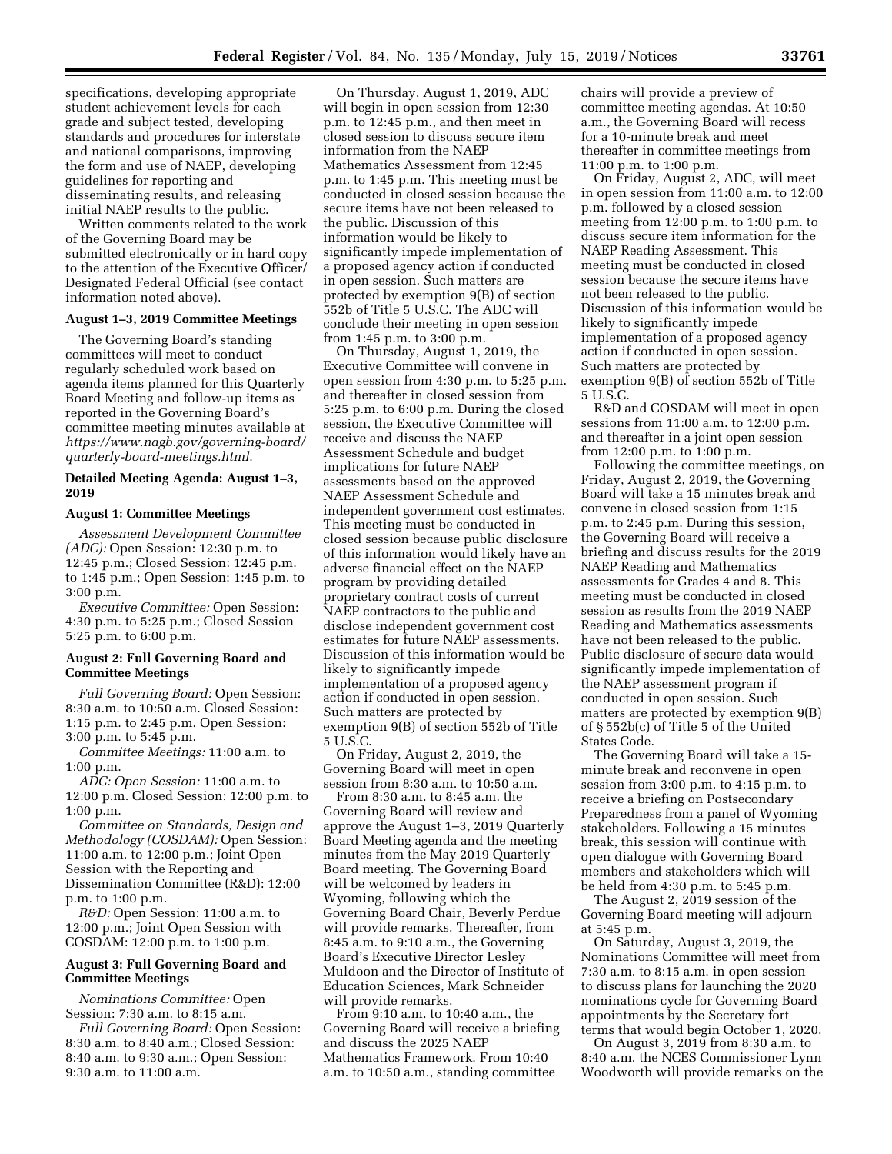specifications, developing appropriate student achievement levels for each grade and subject tested, developing standards and procedures for interstate and national comparisons, improving the form and use of NAEP, developing guidelines for reporting and disseminating results, and releasing initial NAEP results to the public.

Written comments related to the work of the Governing Board may be submitted electronically or in hard copy to the attention of the Executive Officer/ Designated Federal Official (see contact information noted above).

## **August 1–3, 2019 Committee Meetings**

The Governing Board's standing committees will meet to conduct regularly scheduled work based on agenda items planned for this Quarterly Board Meeting and follow-up items as reported in the Governing Board's committee meeting minutes available at *[https://www.nagb.gov/governing-board/](https://www.nagb.gov/governing-board/quarterly-board-meetings.html)  [quarterly-board-meetings.html.](https://www.nagb.gov/governing-board/quarterly-board-meetings.html)* 

### **Detailed Meeting Agenda: August 1–3, 2019**

#### **August 1: Committee Meetings**

*Assessment Development Committee (ADC):* Open Session: 12:30 p.m. to 12:45 p.m.; Closed Session: 12:45 p.m. to 1:45 p.m.; Open Session: 1:45 p.m. to 3:00 p.m.

*Executive Committee:* Open Session: 4:30 p.m. to 5:25 p.m.; Closed Session 5:25 p.m. to 6:00 p.m.

## **August 2: Full Governing Board and Committee Meetings**

*Full Governing Board:* Open Session: 8:30 a.m. to 10:50 a.m. Closed Session: 1:15 p.m. to 2:45 p.m. Open Session: 3:00 p.m. to 5:45 p.m.

*Committee Meetings:* 11:00 a.m. to 1:00 p.m.

*ADC: Open Session:* 11:00 a.m. to 12:00 p.m. Closed Session: 12:00 p.m. to 1:00 p.m.

*Committee on Standards, Design and Methodology (COSDAM):* Open Session: 11:00 a.m. to 12:00 p.m.; Joint Open Session with the Reporting and Dissemination Committee (R&D): 12:00 p.m. to 1:00 p.m.

*R&D:* Open Session: 11:00 a.m. to 12:00 p.m.; Joint Open Session with COSDAM: 12:00 p.m. to 1:00 p.m.

### **August 3: Full Governing Board and Committee Meetings**

*Nominations Committee:* Open Session: 7:30 a.m. to 8:15 a.m.

*Full Governing Board:* Open Session: 8:30 a.m. to 8:40 a.m.; Closed Session: 8:40 a.m. to 9:30 a.m.; Open Session: 9:30 a.m. to 11:00 a.m.

On Thursday, August 1, 2019, ADC will begin in open session from 12:30 p.m. to 12:45 p.m., and then meet in closed session to discuss secure item information from the NAEP Mathematics Assessment from 12:45 p.m. to 1:45 p.m. This meeting must be conducted in closed session because the secure items have not been released to the public. Discussion of this information would be likely to significantly impede implementation of a proposed agency action if conducted in open session. Such matters are protected by exemption 9(B) of section 552b of Title 5 U.S.C. The ADC will conclude their meeting in open session from 1:45 p.m. to 3:00 p.m.

On Thursday, August 1, 2019, the Executive Committee will convene in open session from 4:30 p.m. to 5:25 p.m. and thereafter in closed session from 5:25 p.m. to 6:00 p.m. During the closed session, the Executive Committee will receive and discuss the NAEP Assessment Schedule and budget implications for future NAEP assessments based on the approved NAEP Assessment Schedule and independent government cost estimates. This meeting must be conducted in closed session because public disclosure of this information would likely have an adverse financial effect on the NAEP program by providing detailed proprietary contract costs of current NAEP contractors to the public and disclose independent government cost estimates for future NAEP assessments. Discussion of this information would be likely to significantly impede implementation of a proposed agency action if conducted in open session. Such matters are protected by exemption 9(B) of section 552b of Title 5 U.S.C.

On Friday, August 2, 2019, the Governing Board will meet in open session from 8:30 a.m. to 10:50 a.m.

From 8:30 a.m. to 8:45 a.m. the Governing Board will review and approve the August 1–3, 2019 Quarterly Board Meeting agenda and the meeting minutes from the May 2019 Quarterly Board meeting. The Governing Board will be welcomed by leaders in Wyoming, following which the Governing Board Chair, Beverly Perdue will provide remarks. Thereafter, from 8:45 a.m. to 9:10 a.m., the Governing Board's Executive Director Lesley Muldoon and the Director of Institute of Education Sciences, Mark Schneider will provide remarks.

From 9:10 a.m. to 10:40 a.m., the Governing Board will receive a briefing and discuss the 2025 NAEP Mathematics Framework. From 10:40 a.m. to 10:50 a.m., standing committee

chairs will provide a preview of committee meeting agendas. At 10:50 a.m., the Governing Board will recess for a 10-minute break and meet thereafter in committee meetings from 11:00 p.m. to 1:00 p.m.

On Friday, August 2, ADC, will meet in open session from 11:00 a.m. to 12:00 p.m. followed by a closed session meeting from 12:00 p.m. to 1:00 p.m. to discuss secure item information for the NAEP Reading Assessment. This meeting must be conducted in closed session because the secure items have not been released to the public. Discussion of this information would be likely to significantly impede implementation of a proposed agency action if conducted in open session. Such matters are protected by exemption 9(B) of section 552b of Title 5 U.S.C.

R&D and COSDAM will meet in open sessions from 11:00 a.m. to 12:00 p.m. and thereafter in a joint open session from 12:00 p.m. to 1:00 p.m.

Following the committee meetings, on Friday, August 2, 2019, the Governing Board will take a 15 minutes break and convene in closed session from 1:15 p.m. to 2:45 p.m. During this session, the Governing Board will receive a briefing and discuss results for the 2019 NAEP Reading and Mathematics assessments for Grades 4 and 8. This meeting must be conducted in closed session as results from the 2019 NAEP Reading and Mathematics assessments have not been released to the public. Public disclosure of secure data would significantly impede implementation of the NAEP assessment program if conducted in open session. Such matters are protected by exemption 9(B) of § 552b(c) of Title 5 of the United States Code.

The Governing Board will take a 15 minute break and reconvene in open session from 3:00 p.m. to 4:15 p.m. to receive a briefing on Postsecondary Preparedness from a panel of Wyoming stakeholders. Following a 15 minutes break, this session will continue with open dialogue with Governing Board members and stakeholders which will be held from 4:30 p.m. to 5:45 p.m.

The August 2, 2019 session of the Governing Board meeting will adjourn at 5:45 p.m.

On Saturday, August 3, 2019, the Nominations Committee will meet from 7:30 a.m. to 8:15 a.m. in open session to discuss plans for launching the 2020 nominations cycle for Governing Board appointments by the Secretary fort terms that would begin October 1, 2020.

On August 3, 2019 from 8:30 a.m. to 8:40 a.m. the NCES Commissioner Lynn Woodworth will provide remarks on the